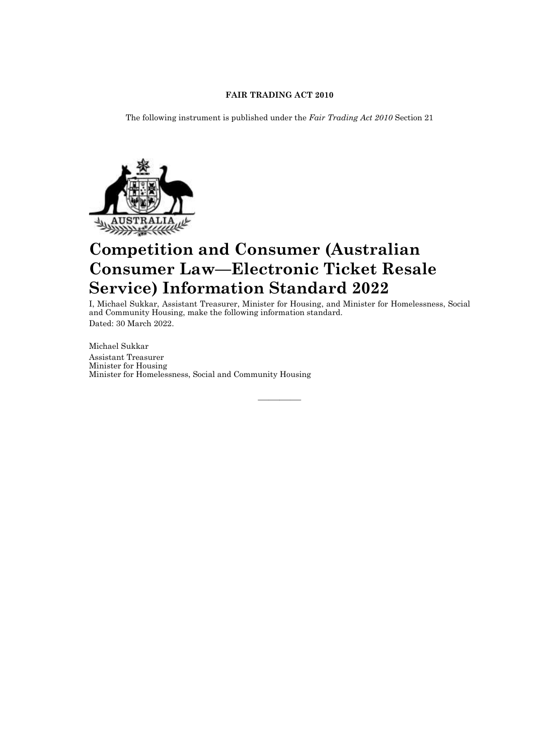# **FAIR TRADING ACT 2010**

The following instrument is published under the *Fair Trading Act 2010* Section 21



# **Competition and Consumer (Australian Consumer Law—Electronic Ticket Resale Service) Information Standard 2022**

I, Michael Sukkar, Assistant Treasurer, Minister for Housing, and Minister for Homelessness, Social and Community Housing, make the following information standard. Dated: 30 March 2022.

————

Michael Sukkar Assistant Treasurer Minister for Housing Minister for Homelessness, Social and Community Housing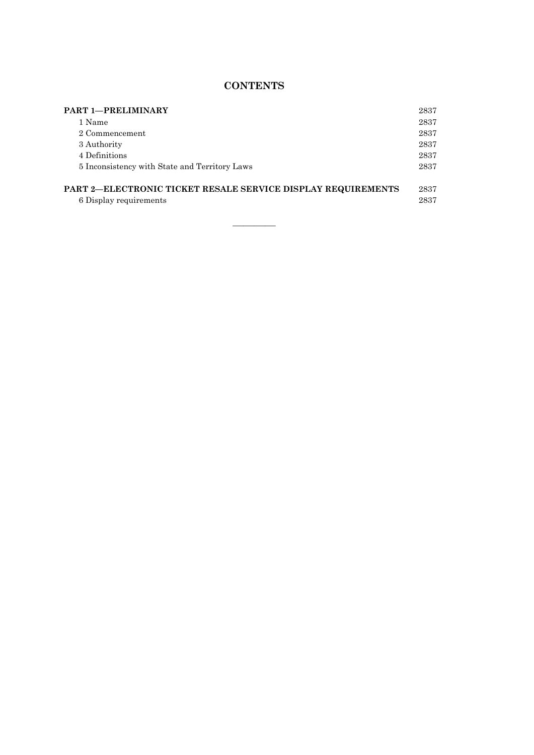# **CONTENTS**

| <b>PART 1-PRELIMINARY</b>                                    | 2837 |
|--------------------------------------------------------------|------|
| 1 Name                                                       | 2837 |
| 2 Commencement                                               | 2837 |
| 3 Authority                                                  | 2837 |
| 4 Definitions                                                | 2837 |
| 5 Inconsistency with State and Territory Laws                | 2837 |
| PART 2-ELECTRONIC TICKET RESALE SERVICE DISPLAY REQUIREMENTS | 2837 |
| 6 Display requirements                                       | 2837 |